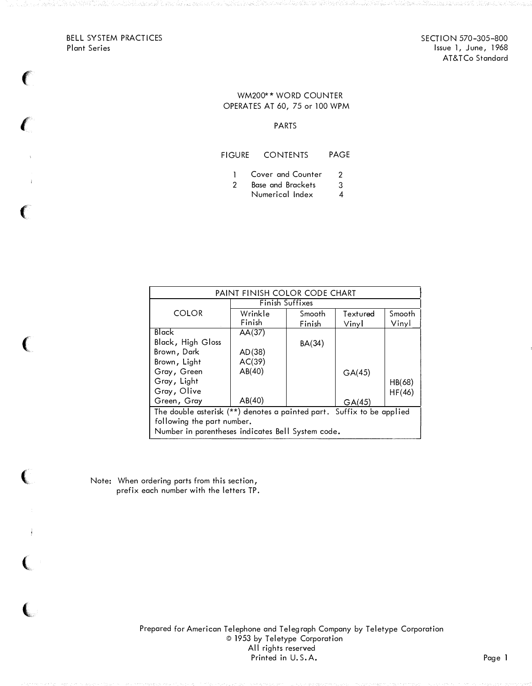BELL SYSTEM PRACTICES Plant Series

 $\big($ 

 $\sqrt{\frac{1}{2}}$ 

 $\epsilon$ 

 $\left($ 

 $\big($ 

 $\big($ 

 $\left($ 

SECTION 570-305-800 Issue 1, June, 1968 AT&TCo Standard

## WM200\*\* WORD COUNTER OPERATES AT 60, 75 or 100 WPM

## PARTS

## FIGURE CONTENTS PAGE

- 1 Cover and Counter 2<br>2 Base and Brackets 3
- 8 Base and Brackets 3<br>2 Numerical Index 4
	- Numerical Index 4

| PAINT FINISH COLOR CODE CHART                                         |                   |                  |                   |                 |  |  |
|-----------------------------------------------------------------------|-------------------|------------------|-------------------|-----------------|--|--|
|                                                                       | Finish Suffixes   |                  |                   |                 |  |  |
| <b>COLOR</b>                                                          | Wrinkle<br>Finish | Smooth<br>Finish | Textured<br>Vinyl | Smooth<br>Vinyl |  |  |
| Black                                                                 | AA(37)            |                  |                   |                 |  |  |
| Black, High Gloss                                                     |                   | BA(34)           |                   |                 |  |  |
| Brown, Dark                                                           | AD(38)            |                  |                   |                 |  |  |
| Brown, Light                                                          | AC(39)            |                  |                   |                 |  |  |
| Gray, Green                                                           | AB(40)            |                  | GA(45)            |                 |  |  |
| Gray, Light                                                           |                   |                  |                   | HB(68)          |  |  |
| Gray, Olive                                                           |                   |                  |                   | HF(46)          |  |  |
| Green, Gray                                                           | AB(40)            |                  | GA(45)            |                 |  |  |
| The double asterisk (**) denotes a painted part. Suffix to be applied |                   |                  |                   |                 |  |  |
| following the part number.                                            |                   |                  |                   |                 |  |  |
| Number in parentheses indicates Bell System code.                     |                   |                  |                   |                 |  |  |

Note: When ordering parts from this section, prefix each number with the letters TP.

> Prepared for American Telephone and Telegraph Company by Teletype Corporation © 1953 by Teletype Corporation All rights reserved Printed in U.S.A. Page 1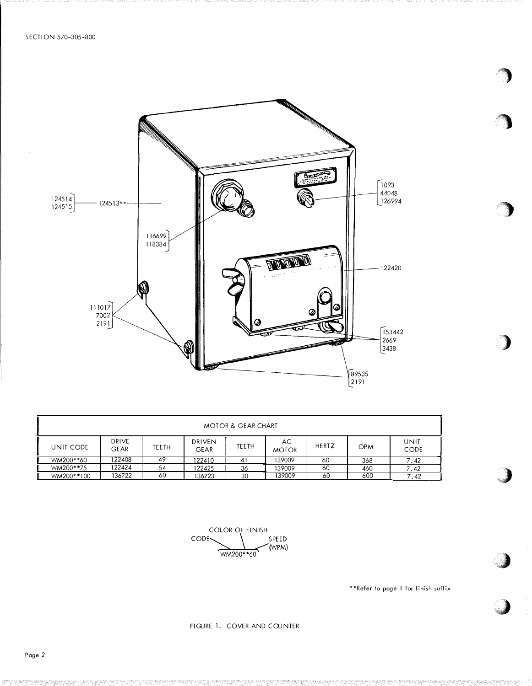

| <b>MOTOR &amp; GEAR CHART</b> |                      |       |                       |              |                    |              |            |              |
|-------------------------------|----------------------|-------|-----------------------|--------------|--------------------|--------------|------------|--------------|
| UNIT CODE                     | DRIVE<br><b>GEAR</b> | TEETH | DRIVEN<br><b>GEAR</b> | <b>TEETH</b> | AC<br><b>MOTOR</b> | <b>HERTZ</b> | <b>OPM</b> | UNIT<br>CODE |
| WM200**60                     | 122408               | 49    | 122410                | 41           | 139009             | 60           | 368        | 7.42         |
| WM200**75                     | 122424               | 54    | 122425                | 36           | 139009             | 60           | 460        | 7.42         |
| WM200**100                    | 136722               | 60    | 136723                | 30           | 139009             | 60           | 600        | 7.42         |

COLOR OF FINISH CODE-SPEED (WPM) WM200\*\*60

\*\*Refer to page 1 for finish suffix

FIGURE 1. COVER AND COUNTER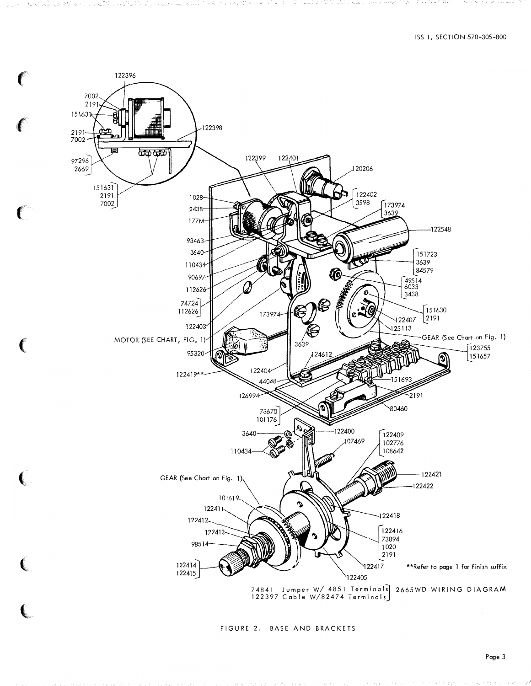

FIGURE 2. BASE AND BRACKETS